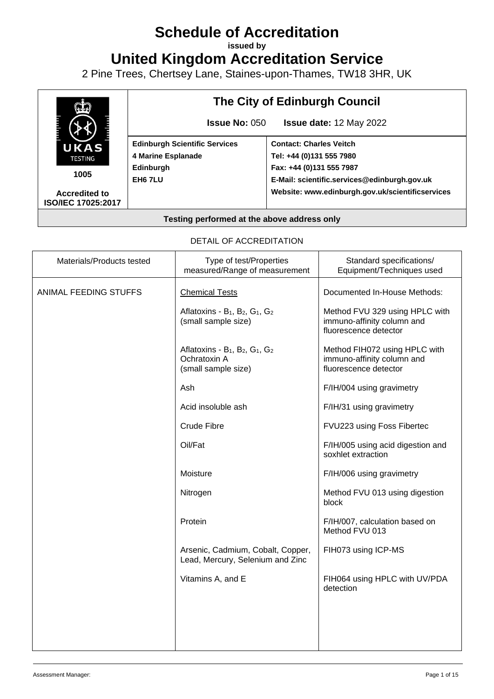# **Schedule of Accreditation**

**issued by**

**United Kingdom Accreditation Service**

2 Pine Trees, Chertsey Lane, Staines-upon-Thames, TW18 3HR, UK



#### DETAIL OF ACCREDITATION

| Type of test/Properties<br>measured/Range of measurement                                                              | Standard specifications/<br>Equipment/Techniques used                                 |
|-----------------------------------------------------------------------------------------------------------------------|---------------------------------------------------------------------------------------|
| <b>Chemical Tests</b>                                                                                                 | Documented In-House Methods:                                                          |
| Aflatoxins - $B_1$ , $B_2$ , $G_1$ , $G_2$<br>(small sample size)                                                     | Method FVU 329 using HPLC with<br>immuno-affinity column and<br>fluorescence detector |
| Aflatoxins - B <sub>1</sub> , B <sub>2</sub> , G <sub>1</sub> , G <sub>2</sub><br>Ochratoxin A<br>(small sample size) | Method FIH072 using HPLC with<br>immuno-affinity column and<br>fluorescence detector  |
| Ash                                                                                                                   | F/IH/004 using gravimetry                                                             |
| Acid insoluble ash                                                                                                    | F/IH/31 using gravimetry                                                              |
| Crude Fibre                                                                                                           | FVU223 using Foss Fibertec                                                            |
| Oil/Fat                                                                                                               | F/IH/005 using acid digestion and<br>soxhlet extraction                               |
| Moisture                                                                                                              | F/IH/006 using gravimetry                                                             |
| Nitrogen                                                                                                              | Method FVU 013 using digestion<br>block                                               |
| Protein                                                                                                               | F/IH/007, calculation based on<br>Method FVU 013                                      |
| Arsenic, Cadmium, Cobalt, Copper,<br>Lead, Mercury, Selenium and Zinc                                                 | FIH073 using ICP-MS                                                                   |
| Vitamins A, and E                                                                                                     | FIH064 using HPLC with UV/PDA<br>detection                                            |
|                                                                                                                       |                                                                                       |
|                                                                                                                       |                                                                                       |
|                                                                                                                       |                                                                                       |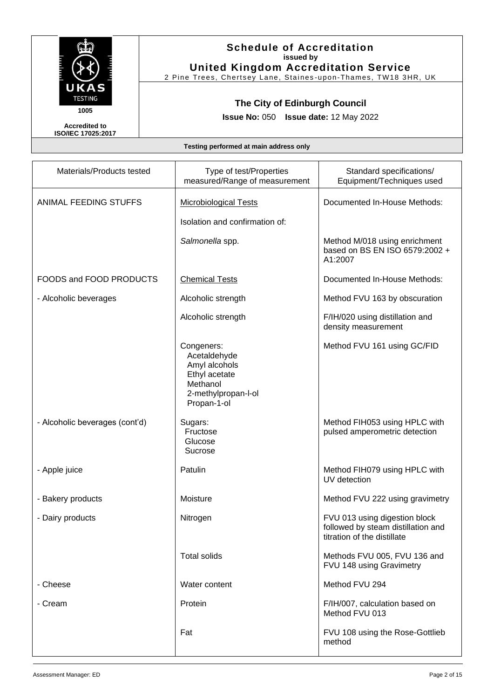

2 Pine Trees, Chertsey Lane, Staines -upon-Thames, TW18 3HR, UK

# **The City of Edinburgh Council**

**Issue No:** 050 **Issue date:** 12 May 2022

**Accredited to ISO/IEC 17025:2017**

| Materials/Products tested      | Type of test/Properties<br>measured/Range of measurement                                                       | Standard specifications/<br>Equipment/Techniques used                                              |
|--------------------------------|----------------------------------------------------------------------------------------------------------------|----------------------------------------------------------------------------------------------------|
| ANIMAL FEEDING STUFFS          | <b>Microbiological Tests</b><br>Isolation and confirmation of:                                                 | Documented In-House Methods:                                                                       |
|                                | Salmonella spp.                                                                                                | Method M/018 using enrichment<br>based on BS EN ISO 6579:2002 +<br>A1:2007                         |
| FOODS and FOOD PRODUCTS        | <b>Chemical Tests</b>                                                                                          | Documented In-House Methods:                                                                       |
| - Alcoholic beverages          | Alcoholic strength                                                                                             | Method FVU 163 by obscuration                                                                      |
|                                | Alcoholic strength                                                                                             | F/IH/020 using distillation and<br>density measurement                                             |
|                                | Congeners:<br>Acetaldehyde<br>Amyl alcohols<br>Ethyl acetate<br>Methanol<br>2-methylpropan-l-ol<br>Propan-1-ol | Method FVU 161 using GC/FID                                                                        |
| - Alcoholic beverages (cont'd) | Sugars:<br>Fructose<br>Glucose<br>Sucrose                                                                      | Method FIH053 using HPLC with<br>pulsed amperometric detection                                     |
| - Apple juice                  | Patulin                                                                                                        | Method FIH079 using HPLC with<br>UV detection                                                      |
| - Bakery products              | Moisture                                                                                                       | Method FVU 222 using gravimetry                                                                    |
| - Dairy products               | Nitrogen                                                                                                       | FVU 013 using digestion block<br>followed by steam distillation and<br>titration of the distillate |
|                                | <b>Total solids</b>                                                                                            | Methods FVU 005, FVU 136 and<br>FVU 148 using Gravimetry                                           |
| - Cheese                       | Water content                                                                                                  | Method FVU 294                                                                                     |
| - Cream                        | Protein                                                                                                        | F/IH/007, calculation based on<br>Method FVU 013                                                   |
|                                | Fat                                                                                                            | FVU 108 using the Rose-Gottlieb<br>method                                                          |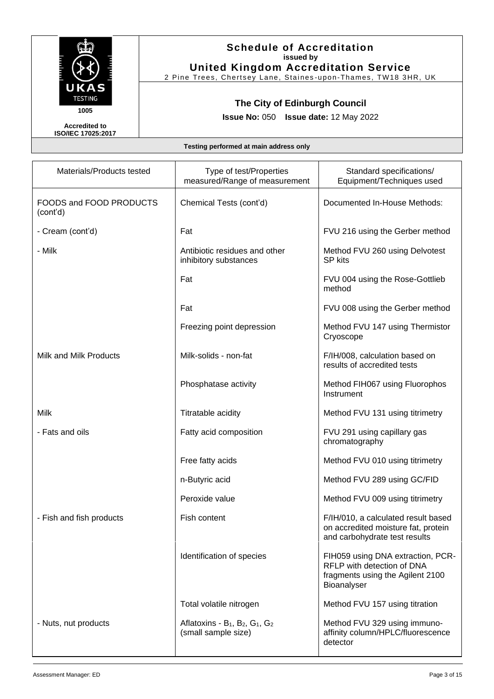

2 Pine Trees, Chertsey Lane, Staines -upon-Thames, TW18 3HR, UK

# **The City of Edinburgh Council**

**Issue No:** 050 **Issue date:** 12 May 2022

**Accredited to ISO/IEC 17025:2017**

| Materials/Products tested           | Type of test/Properties<br>measured/Range of measurement          | Standard specifications/<br>Equipment/Techniques used                                                              |
|-------------------------------------|-------------------------------------------------------------------|--------------------------------------------------------------------------------------------------------------------|
| FOODS and FOOD PRODUCTS<br>(cont'd) | Chemical Tests (cont'd)                                           | Documented In-House Methods:                                                                                       |
| - Cream (cont'd)                    | Fat                                                               | FVU 216 using the Gerber method                                                                                    |
| - Milk                              | Antibiotic residues and other<br>inhibitory substances            | Method FVU 260 using Delvotest<br><b>SP</b> kits                                                                   |
|                                     | Fat                                                               | FVU 004 using the Rose-Gottlieb<br>method                                                                          |
|                                     | Fat                                                               | FVU 008 using the Gerber method                                                                                    |
|                                     | Freezing point depression                                         | Method FVU 147 using Thermistor<br>Cryoscope                                                                       |
| Milk and Milk Products              | Milk-solids - non-fat                                             | F/IH/008, calculation based on<br>results of accredited tests                                                      |
|                                     | Phosphatase activity                                              | Method FIH067 using Fluorophos<br>Instrument                                                                       |
| Milk                                | Titratable acidity                                                | Method FVU 131 using titrimetry                                                                                    |
| - Fats and oils                     | Fatty acid composition                                            | FVU 291 using capillary gas<br>chromatography                                                                      |
|                                     | Free fatty acids                                                  | Method FVU 010 using titrimetry                                                                                    |
|                                     | n-Butyric acid                                                    | Method FVU 289 using GC/FID                                                                                        |
|                                     | Peroxide value                                                    | Method FVU 009 using titrimetry                                                                                    |
| - Fish and fish products            | Fish content                                                      | F/IH/010, a calculated result based<br>on accredited moisture fat, protein<br>and carbohydrate test results        |
|                                     | Identification of species                                         | FIH059 using DNA extraction, PCR-<br>RFLP with detection of DNA<br>fragments using the Agilent 2100<br>Bioanalyser |
|                                     | Total volatile nitrogen                                           | Method FVU 157 using titration                                                                                     |
| - Nuts, nut products                | Aflatoxins - $B_1$ , $B_2$ , $G_1$ , $G_2$<br>(small sample size) | Method FVU 329 using immuno-<br>affinity column/HPLC/fluorescence<br>detector                                      |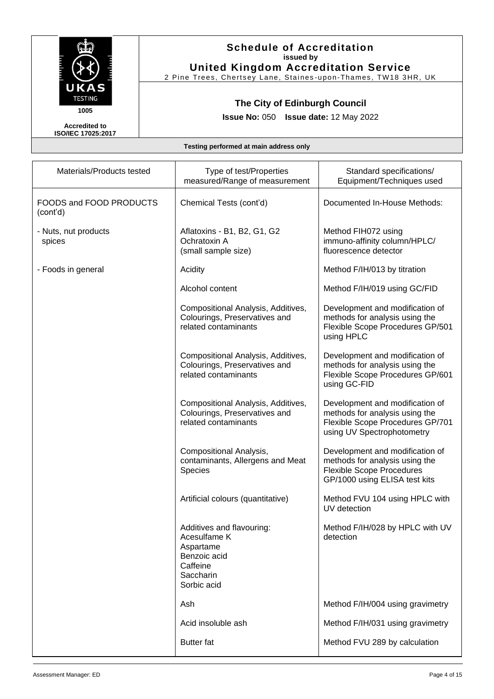

## **Schedule of Accreditation issued by United Kingdom Accreditation Service**

2 Pine Trees, Chertsey Lane, Staines -upon-Thames, TW18 3HR, UK

# **The City of Edinburgh Council**

**Issue No:** 050 **Issue date:** 12 May 2022

| Materials/Products tested           | Type of test/Properties<br>measured/Range of measurement                                                       | Standard specifications/<br>Equipment/Techniques used                                                                                  |
|-------------------------------------|----------------------------------------------------------------------------------------------------------------|----------------------------------------------------------------------------------------------------------------------------------------|
| FOODS and FOOD PRODUCTS<br>(cont'd) | Chemical Tests (cont'd)                                                                                        | Documented In-House Methods:                                                                                                           |
| - Nuts, nut products<br>spices      | Aflatoxins - B1, B2, G1, G2<br>Ochratoxin A<br>(small sample size)                                             | Method FIH072 using<br>immuno-affinity column/HPLC/<br>fluorescence detector                                                           |
| - Foods in general                  | Acidity                                                                                                        | Method F/IH/013 by titration                                                                                                           |
|                                     | Alcohol content                                                                                                | Method F/IH/019 using GC/FID                                                                                                           |
|                                     | Compositional Analysis, Additives,<br>Colourings, Preservatives and<br>related contaminants                    | Development and modification of<br>methods for analysis using the<br>Flexible Scope Procedures GP/501<br>using HPLC                    |
|                                     | Compositional Analysis, Additives,<br>Colourings, Preservatives and<br>related contaminants                    | Development and modification of<br>methods for analysis using the<br>Flexible Scope Procedures GP/601<br>using GC-FID                  |
|                                     | Compositional Analysis, Additives,<br>Colourings, Preservatives and<br>related contaminants                    | Development and modification of<br>methods for analysis using the<br>Flexible Scope Procedures GP/701<br>using UV Spectrophotometry    |
|                                     | Compositional Analysis,<br>contaminants, Allergens and Meat<br>Species                                         | Development and modification of<br>methods for analysis using the<br><b>Flexible Scope Procedures</b><br>GP/1000 using ELISA test kits |
|                                     | Artificial colours (quantitative)                                                                              | Method FVU 104 using HPLC with<br>UV detection                                                                                         |
|                                     | Additives and flavouring:<br>Acesulfame K<br>Aspartame<br>Benzoic acid<br>Caffeine<br>Saccharin<br>Sorbic acid | Method F/IH/028 by HPLC with UV<br>detection                                                                                           |
|                                     | Ash                                                                                                            | Method F/IH/004 using gravimetry                                                                                                       |
|                                     | Acid insoluble ash                                                                                             | Method F/IH/031 using gravimetry                                                                                                       |
|                                     | <b>Butter</b> fat                                                                                              | Method FVU 289 by calculation                                                                                                          |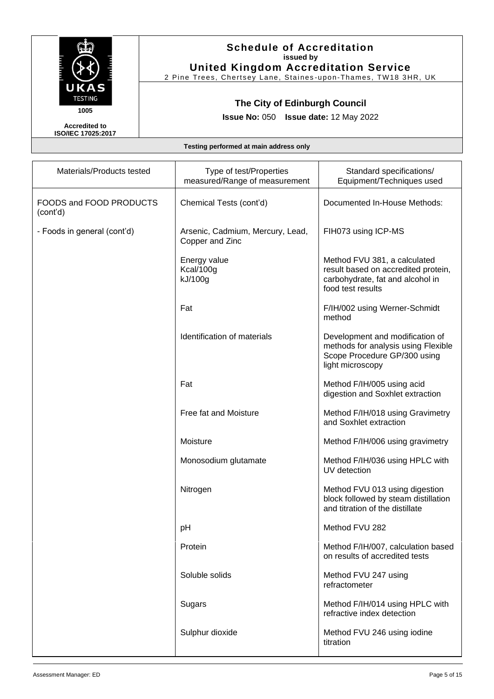

2 Pine Trees, Chertsey Lane, Staines -upon-Thames, TW18 3HR, UK

# **The City of Edinburgh Council**

**Issue No:** 050 **Issue date:** 12 May 2022

**Accredited to ISO/IEC 17025:2017**

| Materials/Products tested           | Type of test/Properties                             | Standard specifications/                                                                                                     |
|-------------------------------------|-----------------------------------------------------|------------------------------------------------------------------------------------------------------------------------------|
|                                     | measured/Range of measurement                       | Equipment/Techniques used                                                                                                    |
| FOODS and FOOD PRODUCTS<br>(cont'd) | Chemical Tests (cont'd)                             | Documented In-House Methods:                                                                                                 |
| - Foods in general (cont'd)         | Arsenic, Cadmium, Mercury, Lead,<br>Copper and Zinc | FIH073 using ICP-MS                                                                                                          |
|                                     | Energy value<br>Kcal/100g<br>kJ/100g                | Method FVU 381, a calculated<br>result based on accredited protein,<br>carbohydrate, fat and alcohol in<br>food test results |
|                                     | Fat                                                 | F/IH/002 using Werner-Schmidt<br>method                                                                                      |
|                                     | Identification of materials                         | Development and modification of<br>methods for analysis using Flexible<br>Scope Procedure GP/300 using<br>light microscopy   |
|                                     | Fat                                                 | Method F/IH/005 using acid<br>digestion and Soxhlet extraction                                                               |
|                                     | Free fat and Moisture                               | Method F/IH/018 using Gravimetry<br>and Soxhlet extraction                                                                   |
|                                     | Moisture                                            | Method F/IH/006 using gravimetry                                                                                             |
|                                     | Monosodium glutamate                                | Method F/IH/036 using HPLC with<br>UV detection                                                                              |
|                                     | Nitrogen                                            | Method FVU 013 using digestion<br>block followed by steam distillation<br>and titration of the distillate                    |
|                                     | pH                                                  | Method FVU 282                                                                                                               |
|                                     | Protein                                             | Method F/IH/007, calculation based<br>on results of accredited tests                                                         |
|                                     | Soluble solids                                      | Method FVU 247 using<br>refractometer                                                                                        |
|                                     | Sugars                                              | Method F/IH/014 using HPLC with<br>refractive index detection                                                                |
|                                     | Sulphur dioxide                                     | Method FVU 246 using iodine<br>titration                                                                                     |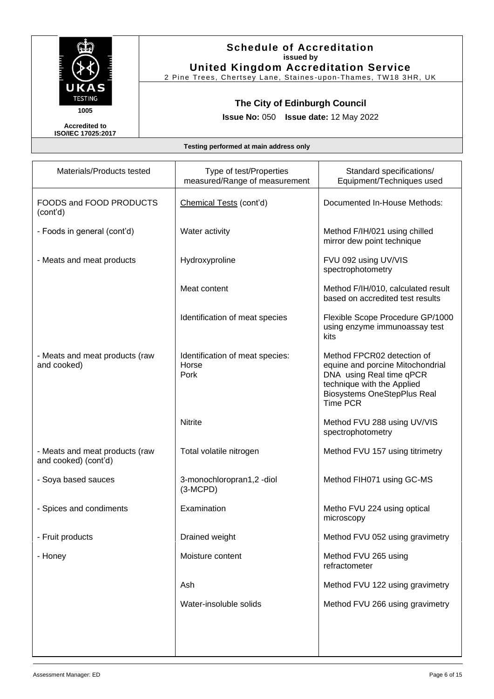

2 Pine Trees, Chertsey Lane, Staines -upon-Thames, TW18 3HR, UK

# **The City of Edinburgh Council**

**Issue No:** 050 **Issue date:** 12 May 2022

**Accredited to ISO/IEC 17025:2017**

| Materials/Products tested                              | Type of test/Properties<br>measured/Range of measurement | Standard specifications/<br>Equipment/Techniques used                                                                                                                             |
|--------------------------------------------------------|----------------------------------------------------------|-----------------------------------------------------------------------------------------------------------------------------------------------------------------------------------|
| FOODS and FOOD PRODUCTS<br>(cont'd)                    | Chemical Tests (cont'd)                                  | Documented In-House Methods:                                                                                                                                                      |
| - Foods in general (cont'd)                            | Water activity                                           | Method F/IH/021 using chilled<br>mirror dew point technique                                                                                                                       |
| - Meats and meat products                              | Hydroxyproline                                           | FVU 092 using UV/VIS<br>spectrophotometry                                                                                                                                         |
|                                                        | Meat content                                             | Method F/IH/010, calculated result<br>based on accredited test results                                                                                                            |
|                                                        | Identification of meat species                           | Flexible Scope Procedure GP/1000<br>using enzyme immunoassay test<br>kits                                                                                                         |
| - Meats and meat products (raw<br>and cooked)          | Identification of meat species:<br>Horse<br>Pork         | Method FPCR02 detection of<br>equine and porcine Mitochondrial<br>DNA using Real time qPCR<br>technique with the Applied<br><b>Biosystems OneStepPlus Real</b><br><b>Time PCR</b> |
|                                                        | Nitrite                                                  | Method FVU 288 using UV/VIS<br>spectrophotometry                                                                                                                                  |
| - Meats and meat products (raw<br>and cooked) (cont'd) | Total volatile nitrogen                                  | Method FVU 157 using titrimetry                                                                                                                                                   |
| - Soya based sauces                                    | 3-monochloropran1,2-diol<br>$(3-MCPD)$                   | Method FIH071 using GC-MS                                                                                                                                                         |
| - Spices and condiments                                | Examination                                              | Metho FVU 224 using optical<br>microscopy                                                                                                                                         |
| - Fruit products                                       | Drained weight                                           | Method FVU 052 using gravimetry                                                                                                                                                   |
| - Honey                                                | Moisture content                                         | Method FVU 265 using<br>refractometer                                                                                                                                             |
|                                                        | Ash                                                      | Method FVU 122 using gravimetry                                                                                                                                                   |
|                                                        | Water-insoluble solids                                   | Method FVU 266 using gravimetry                                                                                                                                                   |
|                                                        |                                                          |                                                                                                                                                                                   |
|                                                        |                                                          |                                                                                                                                                                                   |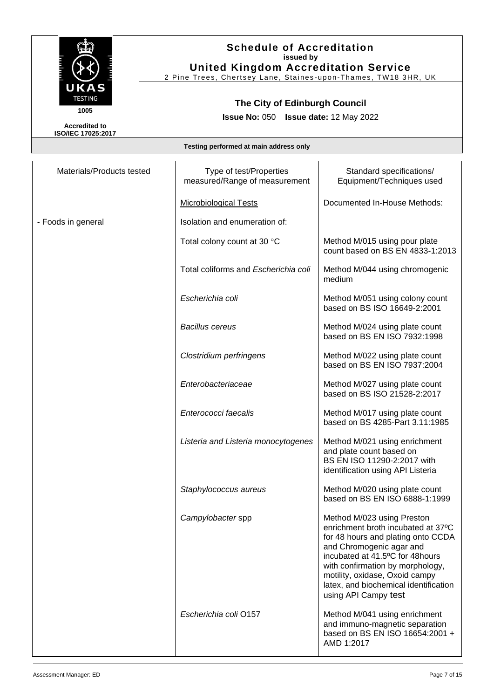

# **Schedule of Accreditation issued by United Kingdom Accreditation Service**

2 Pine Trees, Chertsey Lane, Staines -upon-Thames, TW18 3HR, UK

# **The City of Edinburgh Council**

**Issue No:** 050 **Issue date:** 12 May 2022

| Materials/Products tested | Type of test/Properties<br>measured/Range of measurement | Standard specifications/<br>Equipment/Techniques used                                                                                                                                                                                                                                                        |
|---------------------------|----------------------------------------------------------|--------------------------------------------------------------------------------------------------------------------------------------------------------------------------------------------------------------------------------------------------------------------------------------------------------------|
|                           | <b>Microbiological Tests</b>                             | Documented In-House Methods:                                                                                                                                                                                                                                                                                 |
| - Foods in general        | Isolation and enumeration of:                            |                                                                                                                                                                                                                                                                                                              |
|                           | Total colony count at 30 °C                              | Method M/015 using pour plate<br>count based on BS EN 4833-1:2013                                                                                                                                                                                                                                            |
|                           | Total coliforms and Escherichia coli                     | Method M/044 using chromogenic<br>medium                                                                                                                                                                                                                                                                     |
|                           | Escherichia coli                                         | Method M/051 using colony count<br>based on BS ISO 16649-2:2001                                                                                                                                                                                                                                              |
|                           | <b>Bacillus cereus</b>                                   | Method M/024 using plate count<br>based on BS EN ISO 7932:1998                                                                                                                                                                                                                                               |
|                           | Clostridium perfringens                                  | Method M/022 using plate count<br>based on BS EN ISO 7937:2004                                                                                                                                                                                                                                               |
|                           | Enterobacteriaceae                                       | Method M/027 using plate count<br>based on BS ISO 21528-2:2017                                                                                                                                                                                                                                               |
|                           | Enterococci faecalis                                     | Method M/017 using plate count<br>based on BS 4285-Part 3.11:1985                                                                                                                                                                                                                                            |
|                           | Listeria and Listeria monocytogenes                      | Method M/021 using enrichment<br>and plate count based on<br>BS EN ISO 11290-2:2017 with<br>identification using API Listeria                                                                                                                                                                                |
|                           | Staphylococcus aureus                                    | Method M/020 using plate count<br>based on BS EN ISO 6888-1:1999                                                                                                                                                                                                                                             |
|                           | Campylobacter spp                                        | Method M/023 using Preston<br>enrichment broth incubated at 37°C<br>for 48 hours and plating onto CCDA<br>and Chromogenic agar and<br>incubated at 41.5°C for 48hours<br>with confirmation by morphology,<br>motility, oxidase, Oxoid campy<br>latex, and biochemical identification<br>using API Campy test |
|                           | Escherichia coli O157                                    | Method M/041 using enrichment<br>and immuno-magnetic separation<br>based on BS EN ISO 16654:2001 +<br>AMD 1:2017                                                                                                                                                                                             |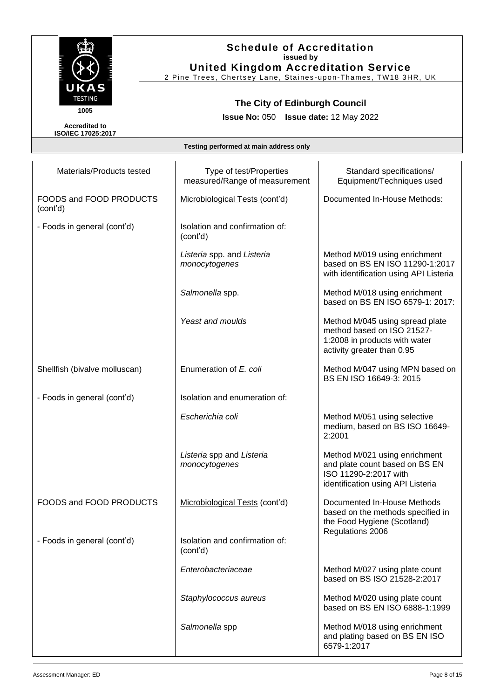

## **Schedule of Accreditation issued by United Kingdom Accreditation Service**

2 Pine Trees, Chertsey Lane, Staines -upon-Thames, TW18 3HR, UK

# **The City of Edinburgh Council**

**Issue No:** 050 **Issue date:** 12 May 2022

| Materials/Products tested           | Type of test/Properties<br>measured/Range of measurement | Standard specifications/<br>Equipment/Techniques used                                                                         |
|-------------------------------------|----------------------------------------------------------|-------------------------------------------------------------------------------------------------------------------------------|
| FOODS and FOOD PRODUCTS<br>(cont'd) | Microbiological Tests (cont'd)                           | Documented In-House Methods:                                                                                                  |
| - Foods in general (cont'd)         | Isolation and confirmation of:<br>(cont'd)               |                                                                                                                               |
|                                     | Listeria spp. and Listeria<br>monocytogenes              | Method M/019 using enrichment<br>based on BS EN ISO 11290-1:2017<br>with identification using API Listeria                    |
|                                     | Salmonella spp.                                          | Method M/018 using enrichment<br>based on BS EN ISO 6579-1: 2017:                                                             |
|                                     | Yeast and moulds                                         | Method M/045 using spread plate<br>method based on ISO 21527-<br>1:2008 in products with water<br>activity greater than 0.95  |
| Shellfish (bivalve molluscan)       | Enumeration of E. coli                                   | Method M/047 using MPN based on<br>BS EN ISO 16649-3: 2015                                                                    |
| - Foods in general (cont'd)         | Isolation and enumeration of:                            |                                                                                                                               |
|                                     | Escherichia coli                                         | Method M/051 using selective<br>medium, based on BS ISO 16649-<br>2:2001                                                      |
|                                     | Listeria spp and Listeria<br>monocytogenes               | Method M/021 using enrichment<br>and plate count based on BS EN<br>ISO 11290-2:2017 with<br>identification using API Listeria |
| FOODS and FOOD PRODUCTS             | Microbiological Tests (cont'd)                           | Documented In-House Methods<br>based on the methods specified in<br>the Food Hygiene (Scotland)                               |
| - Foods in general (cont'd)         | Isolation and confirmation of:<br>(cont'd)               | Regulations 2006                                                                                                              |
|                                     | Enterobacteriaceae                                       | Method M/027 using plate count<br>based on BS ISO 21528-2:2017                                                                |
|                                     | Staphylococcus aureus                                    | Method M/020 using plate count<br>based on BS EN ISO 6888-1:1999                                                              |
|                                     | Salmonella spp                                           | Method M/018 using enrichment<br>and plating based on BS EN ISO<br>6579-1:2017                                                |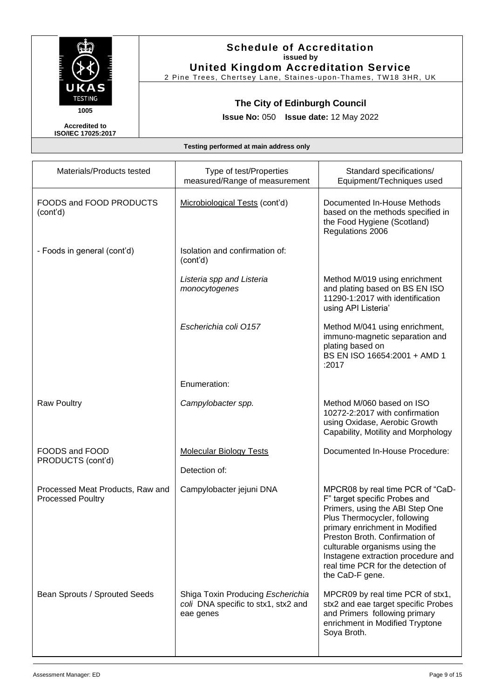

2 Pine Trees, Chertsey Lane, Staines -upon-Thames, TW18 3HR, UK

# **The City of Edinburgh Council**

**Issue No:** 050 **Issue date:** 12 May 2022

**Accredited to ISO/IEC 17025:2017**

| Materials/Products tested                                    | Type of test/Properties<br>measured/Range of measurement                              | Standard specifications/<br>Equipment/Techniques used                                                                                                                                                                                                                                                                                     |
|--------------------------------------------------------------|---------------------------------------------------------------------------------------|-------------------------------------------------------------------------------------------------------------------------------------------------------------------------------------------------------------------------------------------------------------------------------------------------------------------------------------------|
| FOODS and FOOD PRODUCTS<br>(cont'd)                          | Microbiological Tests (cont'd)                                                        | Documented In-House Methods<br>based on the methods specified in<br>the Food Hygiene (Scotland)<br>Regulations 2006                                                                                                                                                                                                                       |
| - Foods in general (cont'd)                                  | Isolation and confirmation of:<br>(cont'd)                                            |                                                                                                                                                                                                                                                                                                                                           |
|                                                              | Listeria spp and Listeria<br>monocytogenes                                            | Method M/019 using enrichment<br>and plating based on BS EN ISO<br>11290-1:2017 with identification<br>using API Listeria'                                                                                                                                                                                                                |
|                                                              | Escherichia coli 0157                                                                 | Method M/041 using enrichment,<br>immuno-magnetic separation and<br>plating based on<br>BS EN ISO 16654:2001 + AMD 1<br>:2017                                                                                                                                                                                                             |
|                                                              | Enumeration:                                                                          |                                                                                                                                                                                                                                                                                                                                           |
| <b>Raw Poultry</b>                                           | Campylobacter spp.                                                                    | Method M/060 based on ISO<br>10272-2:2017 with confirmation<br>using Oxidase, Aerobic Growth<br>Capability, Motility and Morphology                                                                                                                                                                                                       |
| FOODS and FOOD<br>PRODUCTS (cont'd)                          | <b>Molecular Biology Tests</b><br>Detection of:                                       | Documented In-House Procedure:                                                                                                                                                                                                                                                                                                            |
| Processed Meat Products, Raw and<br><b>Processed Poultry</b> | Campylobacter jejuni DNA                                                              | MPCR08 by real time PCR of "CaD-<br>F" target specific Probes and<br>Primers, using the ABI Step One<br>Plus Thermocycler, following<br>primary enrichment in Modified<br>Preston Broth. Confirmation of<br>culturable organisms using the<br>Instagene extraction procedure and<br>real time PCR for the detection of<br>the CaD-F gene. |
| Bean Sprouts / Sprouted Seeds                                | Shiga Toxin Producing Escherichia<br>coli DNA specific to stx1, stx2 and<br>eae genes | MPCR09 by real time PCR of stx1,<br>stx2 and eae target specific Probes<br>and Primers following primary<br>enrichment in Modified Tryptone<br>Soya Broth.                                                                                                                                                                                |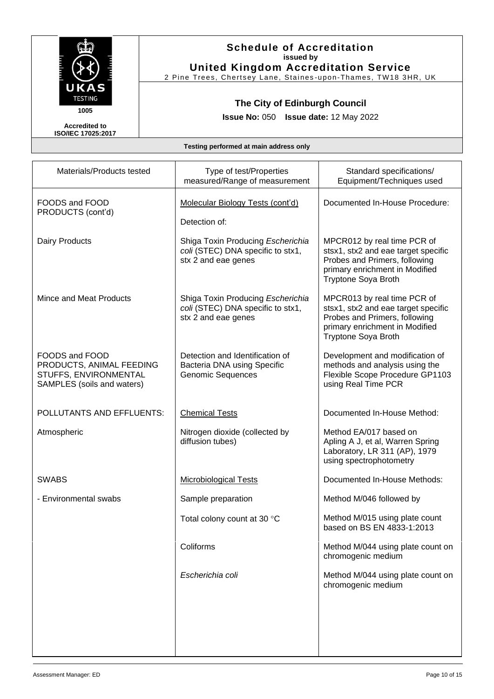

2 Pine Trees, Chertsey Lane, Staines -upon-Thames, TW18 3HR, UK

# **The City of Edinburgh Council**

**Issue No:** 050 **Issue date:** 12 May 2022

**Accredited to ISO/IEC 17025:2017**

| Materials/Products tested                                                                         | Type of test/Properties<br>measured/Range of measurement                                      | Standard specifications/<br>Equipment/Techniques used                                                                                                               |
|---------------------------------------------------------------------------------------------------|-----------------------------------------------------------------------------------------------|---------------------------------------------------------------------------------------------------------------------------------------------------------------------|
| FOODS and FOOD<br>PRODUCTS (cont'd)                                                               | Molecular Biology Tests (cont'd)<br>Detection of:                                             | Documented In-House Procedure:                                                                                                                                      |
| Dairy Products                                                                                    | Shiga Toxin Producing Escherichia<br>coli (STEC) DNA specific to stx1,<br>stx 2 and eae genes | MPCR012 by real time PCR of<br>stsx1, stx2 and eae target specific<br>Probes and Primers, following<br>primary enrichment in Modified<br><b>Tryptone Soya Broth</b> |
| Mince and Meat Products                                                                           | Shiga Toxin Producing Escherichia<br>coli (STEC) DNA specific to stx1,<br>stx 2 and eae genes | MPCR013 by real time PCR of<br>stsx1, stx2 and eae target specific<br>Probes and Primers, following<br>primary enrichment in Modified<br><b>Tryptone Soya Broth</b> |
| FOODS and FOOD<br>PRODUCTS, ANIMAL FEEDING<br>STUFFS, ENVIRONMENTAL<br>SAMPLES (soils and waters) | Detection and Identification of<br>Bacteria DNA using Specific<br><b>Genomic Sequences</b>    | Development and modification of<br>methods and analysis using the<br>Flexible Scope Procedure GP1103<br>using Real Time PCR                                         |
| POLLUTANTS AND EFFLUENTS:                                                                         | <b>Chemical Tests</b>                                                                         | Documented In-House Method:                                                                                                                                         |
| Atmospheric                                                                                       | Nitrogen dioxide (collected by<br>diffusion tubes)                                            | Method EA/017 based on<br>Apling A J, et al, Warren Spring<br>Laboratory, LR 311 (AP), 1979<br>using spectrophotometry                                              |
| <b>SWABS</b>                                                                                      | <b>Microbiological Tests</b>                                                                  | Documented In-House Methods:                                                                                                                                        |
| - Environmental swabs                                                                             | Sample preparation                                                                            | Method M/046 followed by                                                                                                                                            |
|                                                                                                   | Total colony count at 30 °C                                                                   | Method M/015 using plate count<br>based on BS EN 4833-1:2013                                                                                                        |
|                                                                                                   | Coliforms                                                                                     | Method M/044 using plate count on<br>chromogenic medium                                                                                                             |
|                                                                                                   | Escherichia coli                                                                              | Method M/044 using plate count on<br>chromogenic medium                                                                                                             |
|                                                                                                   |                                                                                               |                                                                                                                                                                     |
|                                                                                                   |                                                                                               |                                                                                                                                                                     |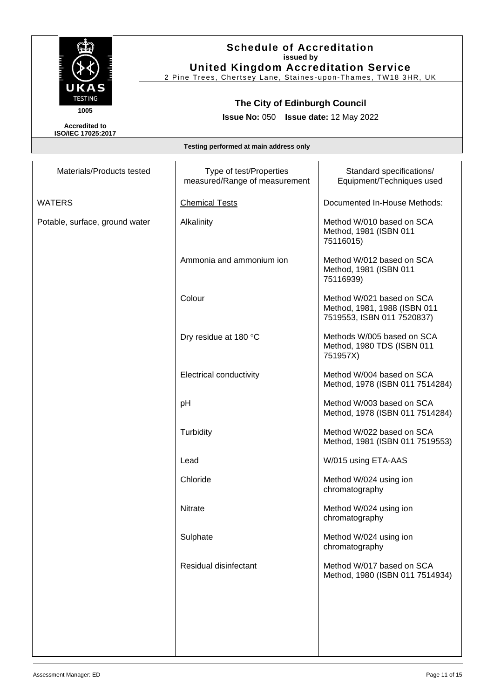

2 Pine Trees, Chertsey Lane, Staines -upon-Thames, TW18 3HR, UK

# **The City of Edinburgh Council**

**Issue No:** 050 **Issue date:** 12 May 2022

**Accredited to ISO/IEC 17025:2017**

| Materials/Products tested      | Type of test/Properties<br>measured/Range of measurement | Standard specifications/<br>Equipment/Techniques used                                   |
|--------------------------------|----------------------------------------------------------|-----------------------------------------------------------------------------------------|
| <b>WATERS</b>                  | <b>Chemical Tests</b>                                    | Documented In-House Methods:                                                            |
| Potable, surface, ground water | Alkalinity                                               | Method W/010 based on SCA<br>Method, 1981 (ISBN 011<br>75116015)                        |
|                                | Ammonia and ammonium ion                                 | Method W/012 based on SCA<br>Method, 1981 (ISBN 011<br>75116939)                        |
|                                | Colour                                                   | Method W/021 based on SCA<br>Method, 1981, 1988 (ISBN 011<br>7519553, ISBN 011 7520837) |
|                                | Dry residue at 180 °C                                    | Methods W/005 based on SCA<br>Method, 1980 TDS (ISBN 011<br>751957X)                    |
|                                | <b>Electrical conductivity</b>                           | Method W/004 based on SCA<br>Method, 1978 (ISBN 011 7514284)                            |
|                                | pH                                                       | Method W/003 based on SCA<br>Method, 1978 (ISBN 011 7514284)                            |
|                                | Turbidity                                                | Method W/022 based on SCA<br>Method, 1981 (ISBN 011 7519553)                            |
|                                | Lead                                                     | W/015 using ETA-AAS                                                                     |
|                                | Chloride                                                 | Method W/024 using ion<br>chromatography                                                |
|                                | <b>Nitrate</b>                                           | Method W/024 using ion<br>chromatography                                                |
|                                | Sulphate                                                 | Method W/024 using ion<br>chromatography                                                |
|                                | Residual disinfectant                                    | Method W/017 based on SCA<br>Method, 1980 (ISBN 011 7514934)                            |
|                                |                                                          |                                                                                         |
|                                |                                                          |                                                                                         |
|                                |                                                          |                                                                                         |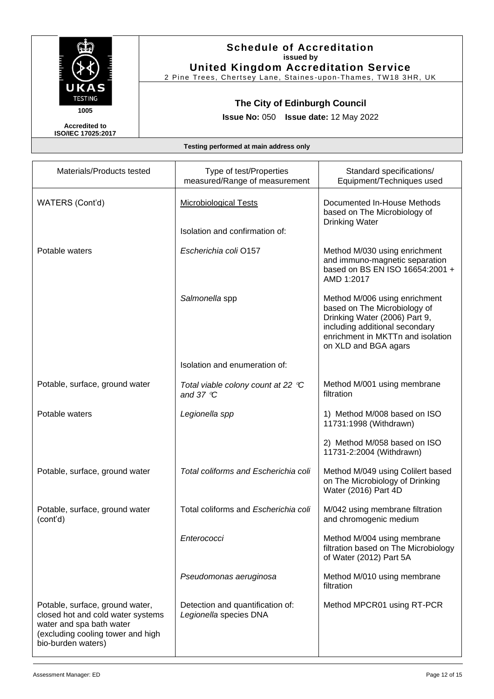

2 Pine Trees, Chertsey Lane, Staines -upon-Thames, TW18 3HR, UK

# **The City of Edinburgh Council**

**Issue No:** 050 **Issue date:** 12 May 2022

**Accredited to ISO/IEC 17025:2017**

| Materials/Products tested                                                                                                                                   | Type of test/Properties<br>measured/Range of measurement   | Standard specifications/<br>Equipment/Techniques used                                                                                                                                         |
|-------------------------------------------------------------------------------------------------------------------------------------------------------------|------------------------------------------------------------|-----------------------------------------------------------------------------------------------------------------------------------------------------------------------------------------------|
| WATERS (Cont'd)                                                                                                                                             | <b>Microbiological Tests</b>                               | Documented In-House Methods<br>based on The Microbiology of<br><b>Drinking Water</b>                                                                                                          |
|                                                                                                                                                             | Isolation and confirmation of:                             |                                                                                                                                                                                               |
| Potable waters                                                                                                                                              | Escherichia coli O157                                      | Method M/030 using enrichment<br>and immuno-magnetic separation<br>based on BS EN ISO 16654:2001 +<br>AMD 1:2017                                                                              |
|                                                                                                                                                             | Salmonella spp                                             | Method M/006 using enrichment<br>based on The Microbiology of<br>Drinking Water (2006) Part 9,<br>including additional secondary<br>enrichment in MKTTn and isolation<br>on XLD and BGA agars |
|                                                                                                                                                             | Isolation and enumeration of:                              |                                                                                                                                                                                               |
| Potable, surface, ground water                                                                                                                              | Total viable colony count at 22 °C<br>and 37 $\degree$ C   | Method M/001 using membrane<br>filtration                                                                                                                                                     |
| Potable waters                                                                                                                                              | Legionella spp                                             | 1) Method M/008 based on ISO<br>11731:1998 (Withdrawn)                                                                                                                                        |
|                                                                                                                                                             |                                                            | 2) Method M/058 based on ISO<br>11731-2:2004 (Withdrawn)                                                                                                                                      |
| Potable, surface, ground water                                                                                                                              | Total coliforms and Escherichia coli                       | Method M/049 using Colilert based<br>on The Microbiology of Drinking<br>Water (2016) Part 4D                                                                                                  |
| Potable, surface, ground water<br>(cont'd)                                                                                                                  | Total coliforms and Escherichia coli                       | M/042 using membrane filtration<br>and chromogenic medium                                                                                                                                     |
|                                                                                                                                                             | Enterococci                                                | Method M/004 using membrane<br>filtration based on The Microbiology<br>of Water (2012) Part 5A                                                                                                |
|                                                                                                                                                             | Pseudomonas aeruginosa                                     | Method M/010 using membrane<br>filtration                                                                                                                                                     |
| Potable, surface, ground water,<br>closed hot and cold water systems<br>water and spa bath water<br>(excluding cooling tower and high<br>bio-burden waters) | Detection and quantification of:<br>Legionella species DNA | Method MPCR01 using RT-PCR                                                                                                                                                                    |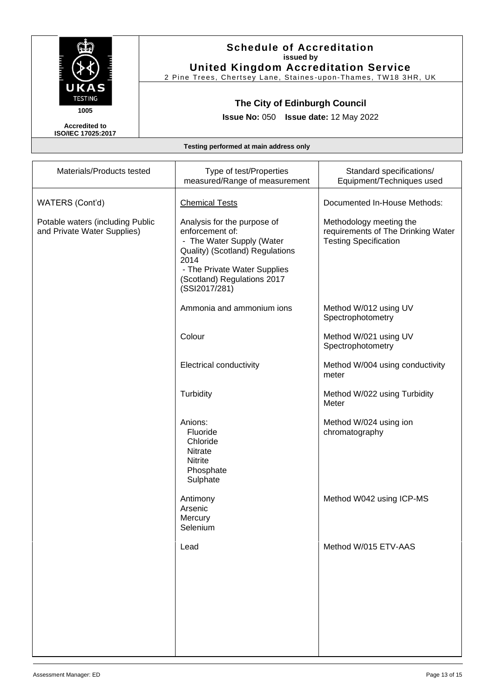

2 Pine Trees, Chertsey Lane, Staines -upon-Thames, TW18 3HR, UK

# **The City of Edinburgh Council**

**Issue No:** 050 **Issue date:** 12 May 2022

**Accredited to ISO/IEC 17025:2017**

| Materials/Products tested                                       | Type of test/Properties<br>measured/Range of measurement                                                                                                                                               | Standard specifications/<br>Equipment/Techniques used                                         |
|-----------------------------------------------------------------|--------------------------------------------------------------------------------------------------------------------------------------------------------------------------------------------------------|-----------------------------------------------------------------------------------------------|
| WATERS (Cont'd)                                                 | <b>Chemical Tests</b>                                                                                                                                                                                  | Documented In-House Methods:                                                                  |
| Potable waters (including Public<br>and Private Water Supplies) | Analysis for the purpose of<br>enforcement of:<br>- The Water Supply (Water<br>Quality) (Scotland) Regulations<br>2014<br>- The Private Water Supplies<br>(Scotland) Regulations 2017<br>(SSI2017/281) | Methodology meeting the<br>requirements of The Drinking Water<br><b>Testing Specification</b> |
|                                                                 | Ammonia and ammonium ions                                                                                                                                                                              | Method W/012 using UV<br>Spectrophotometry                                                    |
|                                                                 | Colour                                                                                                                                                                                                 | Method W/021 using UV<br>Spectrophotometry                                                    |
|                                                                 | <b>Electrical conductivity</b>                                                                                                                                                                         | Method W/004 using conductivity<br>meter                                                      |
|                                                                 | Turbidity                                                                                                                                                                                              | Method W/022 using Turbidity<br>Meter                                                         |
|                                                                 | Anions:<br>Fluoride<br>Chloride<br>Nitrate<br><b>Nitrite</b><br>Phosphate<br>Sulphate                                                                                                                  | Method W/024 using ion<br>chromatography                                                      |
|                                                                 | Antimony<br>Arsenic<br>Mercury<br>Selenium                                                                                                                                                             | Method W042 using ICP-MS                                                                      |
|                                                                 | Lead                                                                                                                                                                                                   | Method W/015 ETV-AAS                                                                          |
|                                                                 |                                                                                                                                                                                                        |                                                                                               |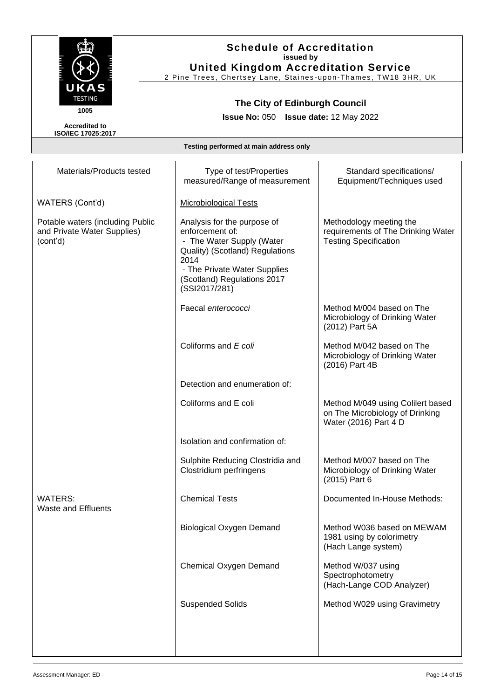

2 Pine Trees, Chertsey Lane, Staines -upon-Thames, TW18 3HR, UK

# **The City of Edinburgh Council**

**Issue No:** 050 **Issue date:** 12 May 2022

**Accredited to ISO/IEC 17025:2017**

| Materials/Products tested                                                   | Type of test/Properties<br>measured/Range of measurement                                                                                                                                               | Standard specifications/<br>Equipment/Techniques used                                         |
|-----------------------------------------------------------------------------|--------------------------------------------------------------------------------------------------------------------------------------------------------------------------------------------------------|-----------------------------------------------------------------------------------------------|
| WATERS (Cont'd)                                                             | <b>Microbiological Tests</b>                                                                                                                                                                           |                                                                                               |
| Potable waters (including Public<br>and Private Water Supplies)<br>(cont'd) | Analysis for the purpose of<br>enforcement of:<br>- The Water Supply (Water<br>Quality) (Scotland) Regulations<br>2014<br>- The Private Water Supplies<br>(Scotland) Regulations 2017<br>(SSI2017/281) | Methodology meeting the<br>requirements of The Drinking Water<br><b>Testing Specification</b> |
|                                                                             | Faecal enterococci                                                                                                                                                                                     | Method M/004 based on The<br>Microbiology of Drinking Water<br>(2012) Part 5A                 |
|                                                                             | Coliforms and E coli                                                                                                                                                                                   | Method M/042 based on The<br>Microbiology of Drinking Water<br>(2016) Part 4B                 |
|                                                                             | Detection and enumeration of:                                                                                                                                                                          |                                                                                               |
|                                                                             | Coliforms and E coli                                                                                                                                                                                   | Method M/049 using Colilert based<br>on The Microbiology of Drinking<br>Water (2016) Part 4 D |
|                                                                             | Isolation and confirmation of:                                                                                                                                                                         |                                                                                               |
|                                                                             | Sulphite Reducing Clostridia and<br>Clostridium perfringens                                                                                                                                            | Method M/007 based on The<br>Microbiology of Drinking Water<br>(2015) Part 6                  |
| <b>WATERS:</b><br><b>Waste and Effluents</b>                                | <b>Chemical Tests</b>                                                                                                                                                                                  | Documented In-House Methods:                                                                  |
|                                                                             | <b>Biological Oxygen Demand</b>                                                                                                                                                                        | Method W036 based on MEWAM<br>1981 using by colorimetry<br>(Hach Lange system)                |
|                                                                             | Chemical Oxygen Demand                                                                                                                                                                                 | Method W/037 using<br>Spectrophotometry<br>(Hach-Lange COD Analyzer)                          |
|                                                                             | <b>Suspended Solids</b>                                                                                                                                                                                | Method W029 using Gravimetry                                                                  |
|                                                                             |                                                                                                                                                                                                        |                                                                                               |